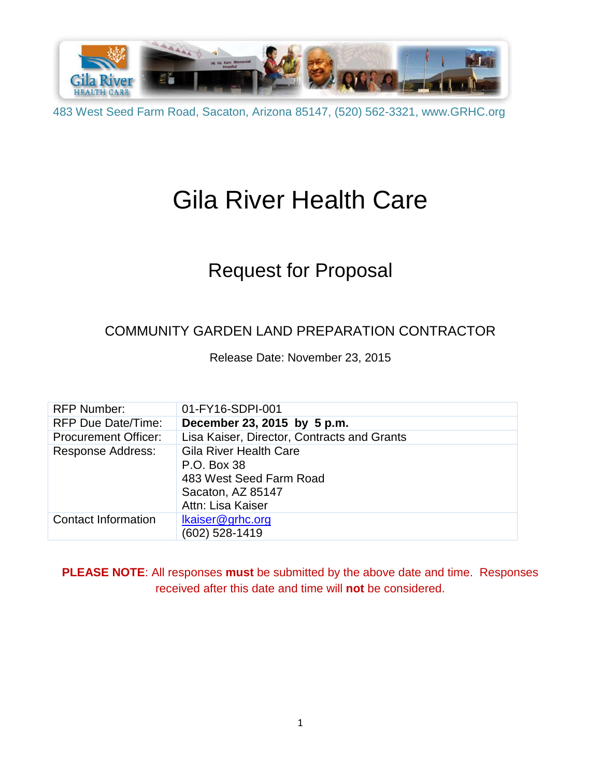

# Gila River Health Care

## Request for Proposal

### COMMUNITY GARDEN LAND PREPARATION CONTRACTOR

Release Date: November 23, 2015

| <b>RFP Number:</b>          | 01-FY16-SDPI-001                            |
|-----------------------------|---------------------------------------------|
| <b>RFP Due Date/Time:</b>   | December 23, 2015 by 5 p.m.                 |
| <b>Procurement Officer:</b> | Lisa Kaiser, Director, Contracts and Grants |
| Response Address:           | <b>Gila River Health Care</b>               |
|                             | P.O. Box 38                                 |
|                             | 483 West Seed Farm Road                     |
|                             | Sacaton, AZ 85147                           |
|                             | Attn: Lisa Kaiser                           |
| <b>Contact Information</b>  | Ikaiser@grhc.org                            |
|                             | (602) 528-1419                              |

**PLEASE NOTE**: All responses **must** be submitted by the above date and time. Responses received after this date and time will **not** be considered.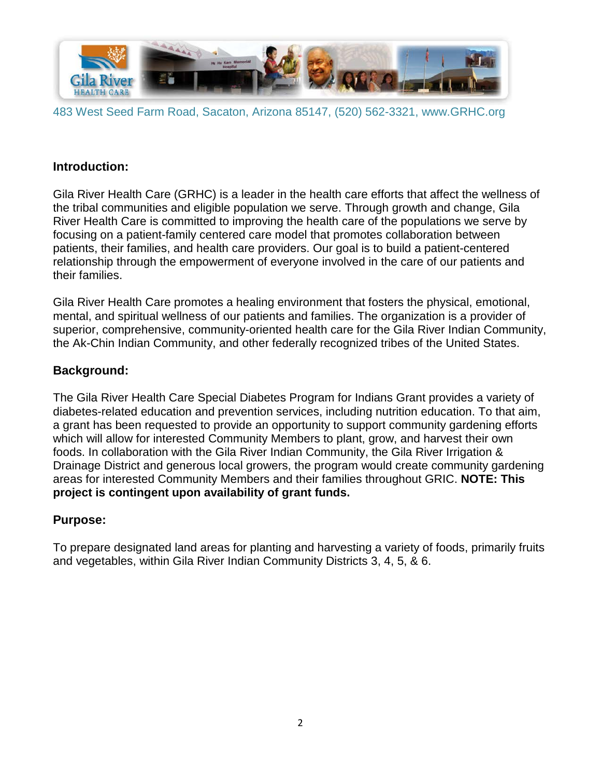

#### **Introduction:**

Gila River Health Care (GRHC) is a leader in the health care efforts that affect the wellness of the tribal communities and eligible population we serve. Through growth and change, Gila River Health Care is committed to improving the health care of the populations we serve by focusing on a patient-family centered care model that promotes collaboration between patients, their families, and health care providers. Our goal is to build a patient-centered relationship through the empowerment of everyone involved in the care of our patients and their families.

Gila River Health Care promotes a healing environment that fosters the physical, emotional, mental, and spiritual wellness of our patients and families. The organization is a provider of superior, comprehensive, community-oriented health care for the Gila River Indian Community, the Ak-Chin Indian Community, and other federally recognized tribes of the United States.

#### **Background:**

The Gila River Health Care Special Diabetes Program for Indians Grant provides a variety of diabetes-related education and prevention services, including nutrition education. To that aim, a grant has been requested to provide an opportunity to support community gardening efforts which will allow for interested Community Members to plant, grow, and harvest their own foods. In collaboration with the Gila River Indian Community, the Gila River Irrigation & Drainage District and generous local growers, the program would create community gardening areas for interested Community Members and their families throughout GRIC. **NOTE: This project is contingent upon availability of grant funds.**

#### **Purpose:**

To prepare designated land areas for planting and harvesting a variety of foods, primarily fruits and vegetables, within Gila River Indian Community Districts 3, 4, 5, & 6.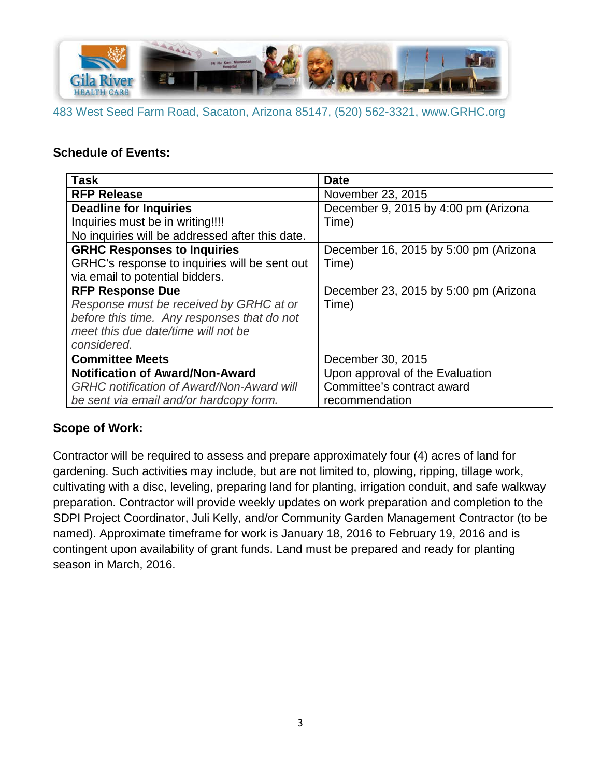

#### **Schedule of Events:**

| <b>Task</b>                                      | <b>Date</b>                           |
|--------------------------------------------------|---------------------------------------|
| <b>RFP Release</b>                               | November 23, 2015                     |
| <b>Deadline for Inquiries</b>                    | December 9, 2015 by 4:00 pm (Arizona  |
| Inquiries must be in writing!!!!                 | Time)                                 |
| No inquiries will be addressed after this date.  |                                       |
| <b>GRHC Responses to Inquiries</b>               | December 16, 2015 by 5:00 pm (Arizona |
| GRHC's response to inquiries will be sent out    | Time)                                 |
| via email to potential bidders.                  |                                       |
| <b>RFP Response Due</b>                          | December 23, 2015 by 5:00 pm (Arizona |
| Response must be received by GRHC at or          | Time)                                 |
| before this time. Any responses that do not      |                                       |
| meet this due date/time will not be              |                                       |
| considered.                                      |                                       |
| <b>Committee Meets</b>                           | December 30, 2015                     |
| <b>Notification of Award/Non-Award</b>           | Upon approval of the Evaluation       |
| <b>GRHC</b> notification of Award/Non-Award will | Committee's contract award            |
| be sent via email and/or hardcopy form.          | recommendation                        |

#### **Scope of Work:**

Contractor will be required to assess and prepare approximately four (4) acres of land for gardening. Such activities may include, but are not limited to, plowing, ripping, tillage work, cultivating with a disc, leveling, preparing land for planting, irrigation conduit, and safe walkway preparation. Contractor will provide weekly updates on work preparation and completion to the SDPI Project Coordinator, Juli Kelly, and/or Community Garden Management Contractor (to be named). Approximate timeframe for work is January 18, 2016 to February 19, 2016 and is contingent upon availability of grant funds. Land must be prepared and ready for planting season in March, 2016.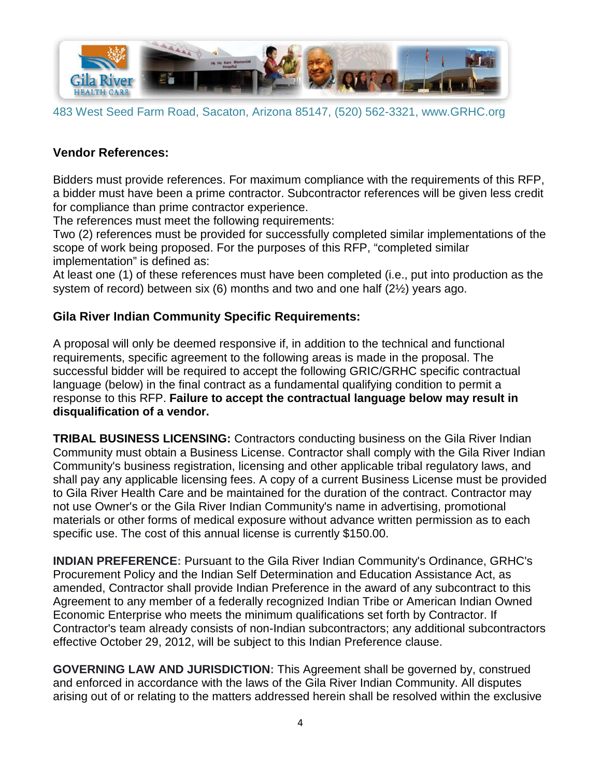

#### **Vendor References:**

Bidders must provide references. For maximum compliance with the requirements of this RFP, a bidder must have been a prime contractor. Subcontractor references will be given less credit for compliance than prime contractor experience.

The references must meet the following requirements:

Two (2) references must be provided for successfully completed similar implementations of the scope of work being proposed. For the purposes of this RFP, "completed similar implementation" is defined as:

At least one (1) of these references must have been completed (i.e., put into production as the system of record) between six (6) months and two and one half (2½) years ago.

#### **Gila River Indian Community Specific Requirements:**

A proposal will only be deemed responsive if, in addition to the technical and functional requirements, specific agreement to the following areas is made in the proposal. The successful bidder will be required to accept the following GRIC/GRHC specific contractual language (below) in the final contract as a fundamental qualifying condition to permit a response to this RFP. **Failure to accept the contractual language below may result in disqualification of a vendor.**

**TRIBAL BUSINESS LICENSING:** Contractors conducting business on the Gila River Indian Community must obtain a Business License. Contractor shall comply with the Gila River Indian Community's business registration, licensing and other applicable tribal regulatory laws, and shall pay any applicable licensing fees. A copy of a current Business License must be provided to Gila River Health Care and be maintained for the duration of the contract. Contractor may not use Owner's or the Gila River Indian Community's name in advertising, promotional materials or other forms of medical exposure without advance written permission as to each specific use. The cost of this annual license is currently \$150.00.

**INDIAN PREFERENCE:** Pursuant to the Gila River Indian Community's Ordinance, GRHC's Procurement Policy and the Indian Self Determination and Education Assistance Act, as amended, Contractor shall provide Indian Preference in the award of any subcontract to this Agreement to any member of a federally recognized Indian Tribe or American Indian Owned Economic Enterprise who meets the minimum qualifications set forth by Contractor. If Contractor's team already consists of non-Indian subcontractors; any additional subcontractors effective October 29, 2012, will be subject to this Indian Preference clause.

**GOVERNING LAW AND JURISDICTION:** This Agreement shall be governed by, construed and enforced in accordance with the laws of the Gila River Indian Community. All disputes arising out of or relating to the matters addressed herein shall be resolved within the exclusive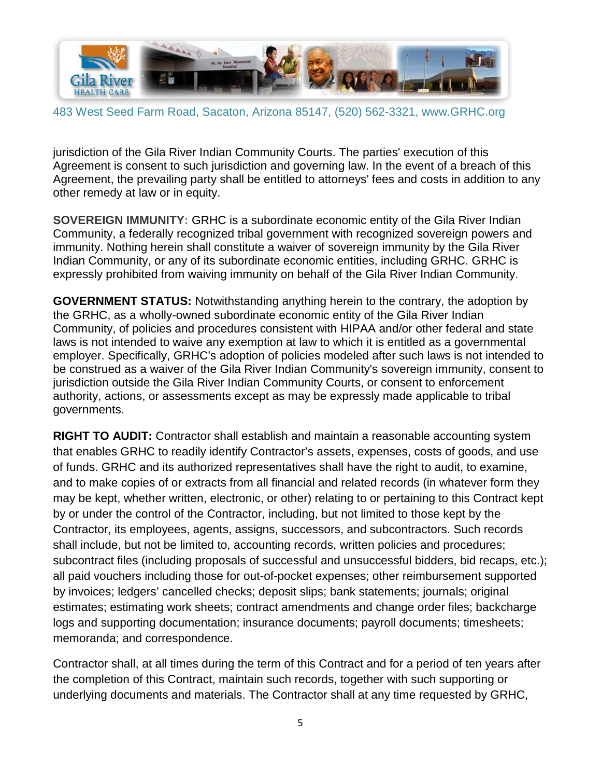

jurisdiction of the Gila River Indian Community Courts. The parties' execution of this Agreement is consent to such jurisdiction and governing law. In the event of a breach of this Agreement, the prevailing party shall be entitled to attorneys' fees and costs in addition to any other remedy at law or in equity.

**SOVEREIGN IMMUNITY:** GRHC is a subordinate economic entity of the Gila River Indian Community, a federally recognized tribal government with recognized sovereign powers and immunity. Nothing herein shall constitute a waiver of sovereign immunity by the Gila River Indian Community, or any of its subordinate economic entities, including GRHC. GRHC is expressly prohibited from waiving immunity on behalf of the Gila River Indian Community.

**GOVERNMENT STATUS:** Notwithstanding anything herein to the contrary, the adoption by the GRHC, as a wholly-owned subordinate economic entity of the Gila River Indian Community, of policies and procedures consistent with HIPAA and/or other federal and state laws is not intended to waive any exemption at law to which it is entitled as a governmental employer. Specifically, GRHC's adoption of policies modeled after such laws is not intended to be construed as a waiver of the Gila River Indian Community's sovereign immunity, consent to jurisdiction outside the Gila River Indian Community Courts, or consent to enforcement authority, actions, or assessments except as may be expressly made applicable to tribal governments.

**RIGHT TO AUDIT:** Contractor shall establish and maintain a reasonable accounting system that enables GRHC to readily identify Contractor's assets, expenses, costs of goods, and use of funds. GRHC and its authorized representatives shall have the right to audit, to examine, and to make copies of or extracts from all financial and related records (in whatever form they may be kept, whether written, electronic, or other) relating to or pertaining to this Contract kept by or under the control of the Contractor, including, but not limited to those kept by the Contractor, its employees, agents, assigns, successors, and subcontractors. Such records shall include, but not be limited to, accounting records, written policies and procedures; subcontract files (including proposals of successful and unsuccessful bidders, bid recaps, etc.); all paid vouchers including those for out-of-pocket expenses; other reimbursement supported by invoices; ledgers' cancelled checks; deposit slips; bank statements; journals; original estimates; estimating work sheets; contract amendments and change order files; backcharge logs and supporting documentation; insurance documents; payroll documents; timesheets; memoranda; and correspondence.

Contractor shall, at all times during the term of this Contract and for a period of ten years after the completion of this Contract, maintain such records, together with such supporting or underlying documents and materials. The Contractor shall at any time requested by GRHC,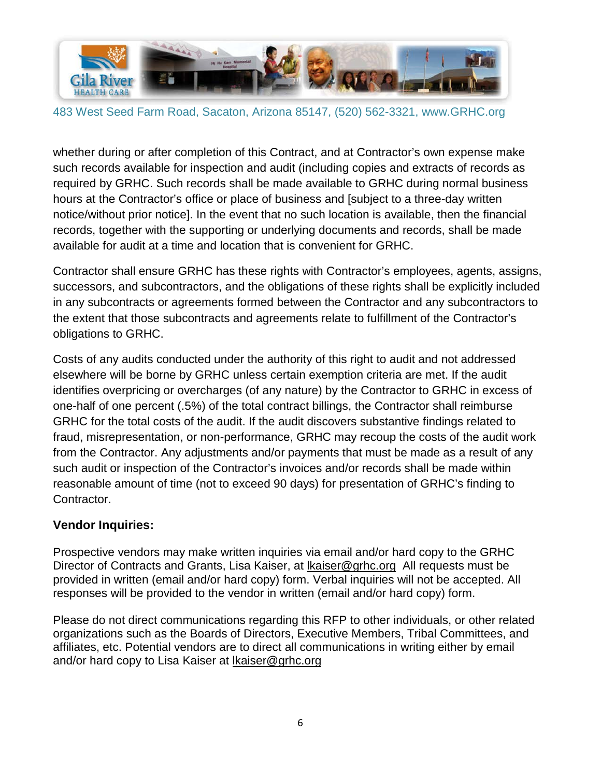

whether during or after completion of this Contract, and at Contractor's own expense make such records available for inspection and audit (including copies and extracts of records as required by GRHC. Such records shall be made available to GRHC during normal business hours at the Contractor's office or place of business and [subject to a three-day written notice/without prior notice]. In the event that no such location is available, then the financial records, together with the supporting or underlying documents and records, shall be made available for audit at a time and location that is convenient for GRHC.

Contractor shall ensure GRHC has these rights with Contractor's employees, agents, assigns, successors, and subcontractors, and the obligations of these rights shall be explicitly included in any subcontracts or agreements formed between the Contractor and any subcontractors to the extent that those subcontracts and agreements relate to fulfillment of the Contractor's obligations to GRHC.

Costs of any audits conducted under the authority of this right to audit and not addressed elsewhere will be borne by GRHC unless certain exemption criteria are met. If the audit identifies overpricing or overcharges (of any nature) by the Contractor to GRHC in excess of one-half of one percent (.5%) of the total contract billings, the Contractor shall reimburse GRHC for the total costs of the audit. If the audit discovers substantive findings related to fraud, misrepresentation, or non-performance, GRHC may recoup the costs of the audit work from the Contractor. Any adjustments and/or payments that must be made as a result of any such audit or inspection of the Contractor's invoices and/or records shall be made within reasonable amount of time (not to exceed 90 days) for presentation of GRHC's finding to Contractor.

#### **Vendor Inquiries:**

Prospective vendors may make written inquiries via email and/or hard copy to the GRHC Director of Contracts and Grants, Lisa Kaiser, at [lkaiser@grhc.org](mailto:lkaiser@grhc.org) All requests must be provided in written (email and/or hard copy) form. Verbal inquiries will not be accepted. All responses will be provided to the vendor in written (email and/or hard copy) form.

Please do not direct communications regarding this RFP to other individuals, or other related organizations such as the Boards of Directors, Executive Members, Tribal Committees, and affiliates, etc. Potential vendors are to direct all communications in writing either by email and/or hard copy to Lisa Kaiser at [lkaiser@grhc.org](mailto:lkaiser@grhc.org)